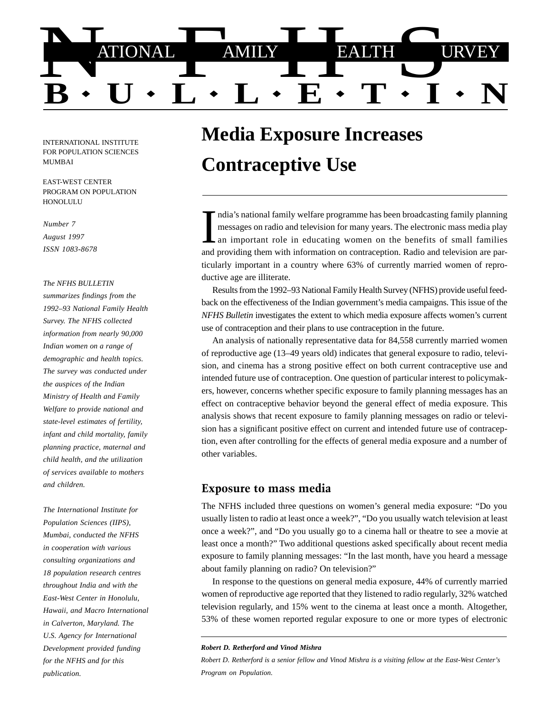

INTERNATIONAL INSTITUTE FOR POPULATION SCIENCES MUMBAI

EAST-WEST CENTER PROGRAM ON POPULATION **HONOLULU** 

### *Number 7*

*August 1997 ISSN 1083-8678*

#### *The NFHS BULLETIN*

*summarizes findings from the 1992–93 National Family Health Survey. The NFHS collected information from nearly 90,000 Indian women on a range of demographic and health topics. The survey was conducted under the auspices of the Indian Ministry of Health and Family Welfare to provide national and state-level estimates of fertility, infant and child mortality, family planning practice, maternal and child health, and the utilization of services available to mothers and children.*

*The International Institute for Population Sciences (IIPS), Mumbai, conducted the NFHS in cooperation with various consulting organizations and 18 population research centres throughout India and with the East-West Center in Honolulu, Hawaii, and Macro International in Calverton, Maryland. The U.S. Agency for International Development provided funding for the NFHS and for this publication.*

# **Media Exposure Increases Contraceptive Use**

ndia's national family welfare programme has been broadcasting family planning messages on radio and television for many years. The electronic mass media play an important role in educating women on the benefits of small families and providing them with information on contraception. Radio and television are particularly important in a country where 63% of currently married women of reproductive age are illiterate.

Results from the 1992–93 National Family Health Survey (NFHS) provide useful feedback on the effectiveness of the Indian government's media campaigns. This issue of the *NFHS Bulletin* investigates the extent to which media exposure affects women's current use of contraception and their plans to use contraception in the future.

An analysis of nationally representative data for 84,558 currently married women of reproductive age (13–49 years old) indicates that general exposure to radio, television, and cinema has a strong positive effect on both current contraceptive use and intended future use of contraception. One question of particular interest to policymakers, however, concerns whether specific exposure to family planning messages has an effect on contraceptive behavior beyond the general effect of media exposure. This analysis shows that recent exposure to family planning messages on radio or television has a significant positive effect on current and intended future use of contraception, even after controlling for the effects of general media exposure and a number of other variables.

## Exposure to mass media

The NFHS included three questions on women's general media exposure: "Do you usually listen to radio at least once a week?", "Do you usually watch television at least once a week?", and "Do you usually go to a cinema hall or theatre to see a movie at least once a month?" Two additional questions asked specifically about recent media exposure to family planning messages: "In the last month, have you heard a message about family planning on radio? On television?"

In response to the questions on general media exposure, 44% of currently married women of reproductive age reported that they listened to radio regularly, 32% watched television regularly, and 15% went to the cinema at least once a month. Altogether, 53% of these women reported regular exposure to one or more types of electronic

*Robert D. Retherford and Vinod Mishra*

*Robert D. Retherford is a senior fellow and Vinod Mishra is a visiting fellow at the East-West Center's Program on Population.*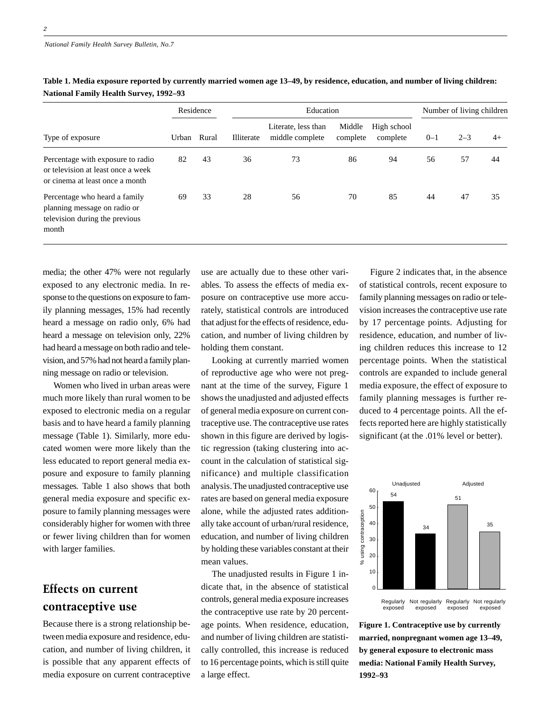| Type of exposure                                                                                           | Residence |       | Education  |                                        |                    |                         | Number of living children |         |      |
|------------------------------------------------------------------------------------------------------------|-----------|-------|------------|----------------------------------------|--------------------|-------------------------|---------------------------|---------|------|
|                                                                                                            | Urban     | Rural | Illiterate | Literate, less than<br>middle complete | Middle<br>complete | High school<br>complete | $0 - 1$                   | $2 - 3$ | $4+$ |
| Percentage with exposure to radio<br>or television at least once a week<br>or cinema at least once a month | 82        | 43    | 36         | 73                                     | 86                 | 94                      | 56                        | 57      | 44   |
| Percentage who heard a family<br>planning message on radio or<br>television during the previous<br>month   | 69        | 33    | 28         | 56                                     | 70                 | 85                      | 44                        | 47      | 35   |

**Table 1. Media exposure reported by currently married women age 13–49, by residence, education, and number of living children: National Family Health Survey, 1992–93**

media; the other 47% were not regularly exposed to any electronic media. In response to the questions on exposure to family planning messages, 15% had recently heard a message on radio only, 6% had heard a message on television only, 22% had heard a message on both radio and television, and 57% had not heard a family planning message on radio or television.

Women who lived in urban areas were much more likely than rural women to be exposed to electronic media on a regular basis and to have heard a family planning message (Table 1). Similarly, more educated women were more likely than the less educated to report general media exposure and exposure to family planning messages. Table 1 also shows that both general media exposure and specific exposure to family planning messages were considerably higher for women with three or fewer living children than for women with larger families.

# Effects on current contraceptive use

Because there is a strong relationship between media exposure and residence, education, and number of living children, it is possible that any apparent effects of media exposure on current contraceptive

use are actually due to these other variables. To assess the effects of media exposure on contraceptive use more accurately, statistical controls are introduced that adjust for the effects of residence, education, and number of living children by holding them constant.

Looking at currently married women of reproductive age who were not pregnant at the time of the survey, Figure 1 shows the unadjusted and adjusted effects of general media exposure on current contraceptive use. The contraceptive use rates shown in this figure are derived by logistic regression (taking clustering into account in the calculation of statistical significance) and multiple classification analysis. The unadjusted contraceptive use rates are based on general media exposure alone, while the adjusted rates additionally take account of urban/rural residence, education, and number of living children by holding these variables constant at their mean values.

The unadjusted results in Figure 1 indicate that, in the absence of statistical controls, general media exposure increases the contraceptive use rate by 20 percentage points. When residence, education, and number of living children are statistically controlled, this increase is reduced to 16 percentage points, which is still quite a large effect.

Figure 2 indicates that, in the absence of statistical controls, recent exposure to family planning messages on radio or television increases the contraceptive use rate by 17 percentage points. Adjusting for residence, education, and number of living children reduces this increase to 12 percentage points. When the statistical controls are expanded to include general media exposure, the effect of exposure to family planning messages is further reduced to 4 percentage points. All the effects reported here are highly statistically significant (at the .01% level or better).



**Figure 1. Contraceptive use by currently married, nonpregnant women age 13–49, by general exposure to electronic mass media: National Family Health Survey, 1992–93**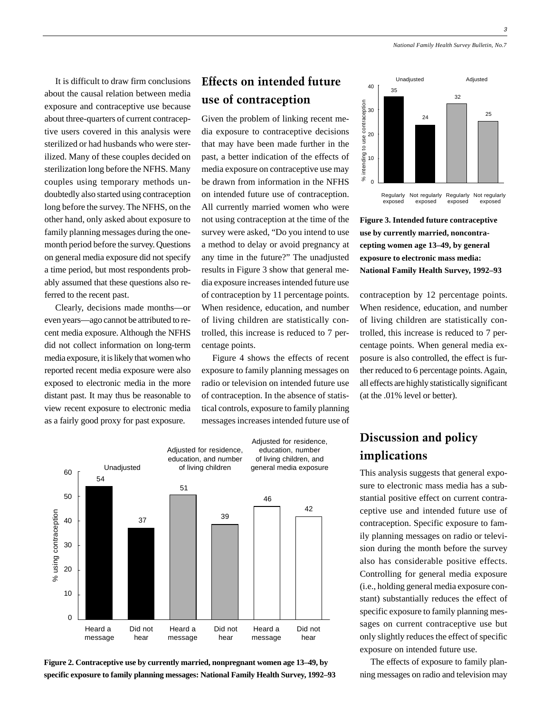3

It is difficult to draw firm conclusions about the causal relation between media exposure and contraceptive use because about three-quarters of current contraceptive users covered in this analysis were sterilized or had husbands who were sterilized. Many of these couples decided on sterilization long before the NFHS. Many couples using temporary methods undoubtedly also started using contraception long before the survey. The NFHS, on the other hand, only asked about exposure to family planning messages during the onemonth period before the survey. Questions on general media exposure did not specify a time period, but most respondents probably assumed that these questions also referred to the recent past.

Clearly, decisions made months—or even years—ago cannot be attributed to recent media exposure. Although the NFHS did not collect information on long-term media exposure, it is likely that women who reported recent media exposure were also exposed to electronic media in the more distant past. It may thus be reasonable to view recent exposure to electronic media as a fairly good proxy for past exposure.

## Effects on intended future use of contraception

Given the problem of linking recent media exposure to contraceptive decisions that may have been made further in the past, a better indication of the effects of media exposure on contraceptive use may be drawn from information in the NFHS on intended future use of contraception. All currently married women who were not using contraception at the time of the survey were asked, "Do you intend to use a method to delay or avoid pregnancy at any time in the future?" The unadjusted results in Figure 3 show that general media exposure increases intended future use of contraception by 11 percentage points. When residence, education, and number of living children are statistically controlled, this increase is reduced to 7 percentage points.

Figure 4 shows the effects of recent exposure to family planning messages on radio or television on intended future use of contraception. In the absence of statistical controls, exposure to family planning messages increases intended future use of



**Figure 2. Contraceptive use by currently married, nonpregnant women age 13–49, by specific exposure to family planning messages: National Family Health Survey, 1992–93**



**Figure 3. Intended future contraceptive use by currently married, noncontracepting women age 13–49, by general exposure to electronic mass media: National Family Health Survey, 1992–93**

contraception by 12 percentage points. When residence, education, and number of living children are statistically controlled, this increase is reduced to 7 percentage points. When general media exposure is also controlled, the effect is further reduced to 6 percentage points. Again, all effects are highly statistically significant (at the .01% level or better).

# Discussion and policy implications

This analysis suggests that general exposure to electronic mass media has a substantial positive effect on current contraceptive use and intended future use of contraception. Specific exposure to family planning messages on radio or television during the month before the survey also has considerable positive effects. Controlling for general media exposure (i.e., holding general media exposure constant) substantially reduces the effect of specific exposure to family planning messages on current contraceptive use but only slightly reduces the effect of specific exposure on intended future use.

The effects of exposure to family planning messages on radio and television may